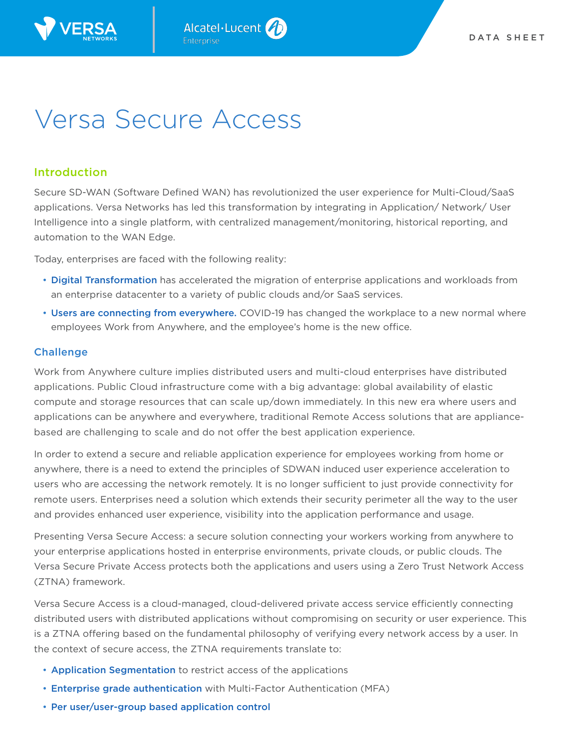

# Versa Secure Access

## Introduction

Secure SD-WAN (Software Defined WAN) has revolutionized the user experience for Multi-Cloud/SaaS applications. Versa Networks has led this transformation by integrating in Application/ Network/ User Intelligence into a single platform, with centralized management/monitoring, historical reporting, and automation to the WAN Edge.

Today, enterprises are faced with the following reality:

- Digital Transformation has accelerated the migration of enterprise applications and workloads from an enterprise datacenter to a variety of public clouds and/or SaaS services.
- Users are connecting from everywhere. COVID-19 has changed the workplace to a new normal where employees Work from Anywhere, and the employee's home is the new office.

## **Challenge**

Work from Anywhere culture implies distributed users and multi-cloud enterprises have distributed applications. Public Cloud infrastructure come with a big advantage: global availability of elastic compute and storage resources that can scale up/down immediately. In this new era where users and applications can be anywhere and everywhere, traditional Remote Access solutions that are appliancebased are challenging to scale and do not offer the best application experience.

In order to extend a secure and reliable application experience for employees working from home or anywhere, there is a need to extend the principles of SDWAN induced user experience acceleration to users who are accessing the network remotely. It is no longer sufficient to just provide connectivity for remote users. Enterprises need a solution which extends their security perimeter all the way to the user and provides enhanced user experience, visibility into the application performance and usage.

Presenting Versa Secure Access: a secure solution connecting your workers working from anywhere to your enterprise applications hosted in enterprise environments, private clouds, or public clouds. The Versa Secure Private Access protects both the applications and users using a Zero Trust Network Access (ZTNA) framework.

Versa Secure Access is a cloud-managed, cloud-delivered private access service efficiently connecting distributed users with distributed applications without compromising on security or user experience. This is a ZTNA offering based on the fundamental philosophy of verifying every network access by a user. In the context of secure access, the ZTNA requirements translate to:

- Application Segmentation to restrict access of the applications
- Enterprise grade authentication with Multi-Factor Authentication (MFA)
- Per user/user-group based application control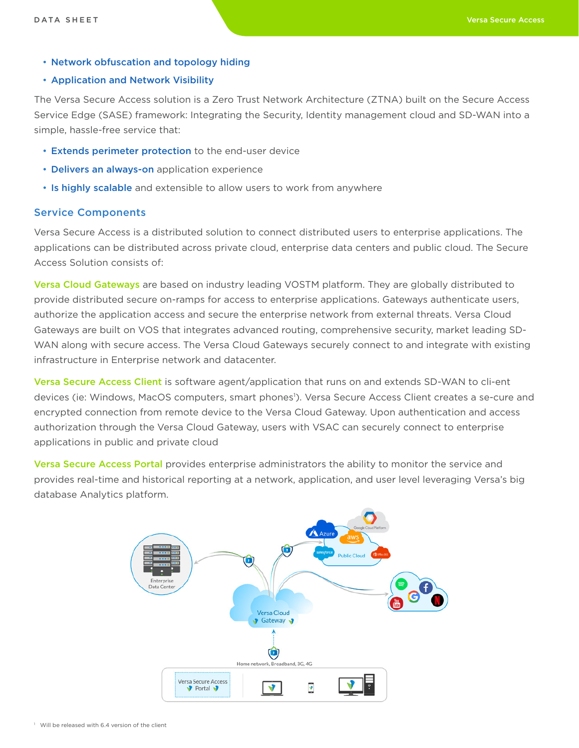• Network obfuscation and topology hiding

## • Application and Network Visibility

The Versa Secure Access solution is a Zero Trust Network Architecture (ZTNA) built on the Secure Access Service Edge (SASE) framework: Integrating the Security, Identity management cloud and SD-WAN into a simple, hassle-free service that:

- Extends perimeter protection to the end-user device
- Delivers an always-on application experience
- Is highly scalable and extensible to allow users to work from anywhere

## Service Components

Versa Secure Access is a distributed solution to connect distributed users to enterprise applications. The applications can be distributed across private cloud, enterprise data centers and public cloud. The Secure Access Solution consists of:

Versa Cloud Gateways are based on industry leading VOSTM platform. They are globally distributed to provide distributed secure on-ramps for access to enterprise applications. Gateways authenticate users, authorize the application access and secure the enterprise network from external threats. Versa Cloud Gateways are built on VOS that integrates advanced routing, comprehensive security, market leading SD-WAN along with secure access. The Versa Cloud Gateways securely connect to and integrate with existing infrastructure in Enterprise network and datacenter.

Versa Secure Access Client is software agent/application that runs on and extends SD-WAN to cli-ent devices (ie: Windows, MacOS computers, smart phones<sup>1</sup>). Versa Secure Access Client creates a se-cure and encrypted connection from remote device to the Versa Cloud Gateway. Upon authentication and access authorization through the Versa Cloud Gateway, users with VSAC can securely connect to enterprise applications in public and private cloud

Versa Secure Access Portal provides enterprise administrators the ability to monitor the service and provides real-time and historical reporting at a network, application, and user level leveraging Versa's big database Analytics platform.

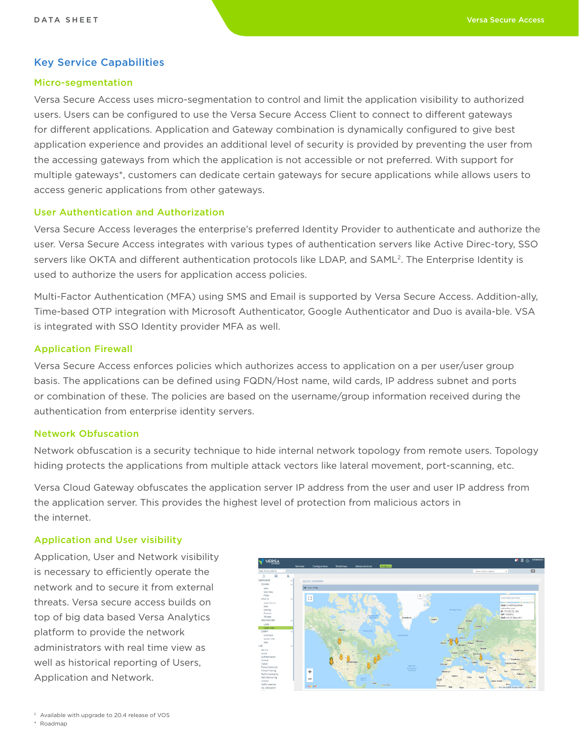## Key Service Capabilities

#### Micro-segmentation

Versa Secure Access uses micro-segmentation to control and limit the application visibility to authorized users. Users can be configured to use the Versa Secure Access Client to connect to different gateways for different applications. Application and Gateway combination is dynamically configured to give best application experience and provides an additional level of security is provided by preventing the user from the accessing gateways from which the application is not accessible or not preferred. With support for multiple gateways\*, customers can dedicate certain gateways for secure applications while allows users to access generic applications from other gateways.

## User Authentication and Authorization

Versa Secure Access leverages the enterprise's preferred Identity Provider to authenticate and authorize the user. Versa Secure Access integrates with various types of authentication servers like Active Direc-tory, SSO servers like OKTA and different authentication protocols like LDAP, and SAML<sup>2</sup>. The Enterprise Identity is used to authorize the users for application access policies.

Multi-Factor Authentication (MFA) using SMS and Email is supported by Versa Secure Access. Addition-ally, Time-based OTP integration with Microsoft Authenticator, Google Authenticator and Duo is availa-ble. VSA is integrated with SSO Identity provider MFA as well.

## Application Firewall

Versa Secure Access enforces policies which authorizes access to application on a per user/user group basis. The applications can be defined using FQDN/Host name, wild cards, IP address subnet and ports or combination of these. The policies are based on the username/group information received during the authentication from enterprise identity servers.

## Network Obfuscation

Network obfuscation is a security technique to hide internal network topology from remote users. Topology hiding protects the applications from multiple attack vectors like lateral movement, port-scanning, etc.

Versa Cloud Gateway obfuscates the application server IP address from the user and user IP address from the application server. This provides the highest level of protection from malicious actors in the internet.

## Application and User visibility

Application, User and Network visibility is necessary to efficiently operate the network and to secure it from external threats. Versa secure access builds on top of big data based Versa Analytics platform to provide the network administrators with real time view as well as historical reporting of Users, Application and Network.

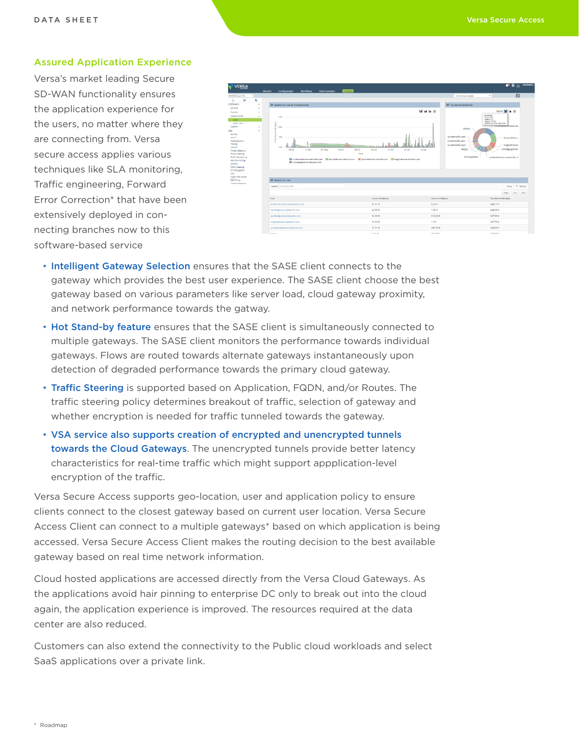#### Assured Application Experience

Versa's market leading Secure SD-WAN functionality ensures the application experience for the users, no matter where they are connecting from. Versa secure access applies various techniques like SLA monitoring, Traffic engineering, Forward Error Correction\* that have been extensively deployed in connecting branches now to this software-based service



- Intelligent Gateway Selection ensures that the SASE client connects to the gateway which provides the best user experience. The SASE client choose the best gateway based on various parameters like server load, cloud gateway proximity, and network performance towards the gatway.
- Hot Stand-by feature ensures that the SASE client is simultaneously connected to multiple gateways. The SASE client monitors the performance towards individual gateways. Flows are routed towards alternate gateways instantaneously upon detection of degraded performance towards the primary cloud gateway.
- Traffic Steering is supported based on Application, FQDN, and/or Routes. The traffic steering policy determines breakout of traffic, selection of gateway and whether encryption is needed for traffic tunneled towards the gateway.
- VSA service also supports creation of encrypted and unencrypted tunnels towards the Cloud Gateways. The unencrypted tunnels provide better latency characteristics for real-time traffic which might support appplication-level encryption of the traffic.

Versa Secure Access supports geo-location, user and application policy to ensure clients connect to the closest gateway based on current user location. Versa Secure Access Client can connect to a multiple gateways\* based on which application is being accessed. Versa Secure Access Client makes the routing decision to the best available gateway based on real time network information.

Cloud hosted applications are accessed directly from the Versa Cloud Gateways. As the applications avoid hair pinning to enterprise DC only to break out into the cloud again, the application experience is improved. The resources required at the data center are also reduced.

Customers can also extend the connectivity to the Public cloud workloads and select SaaS applications over a private link.